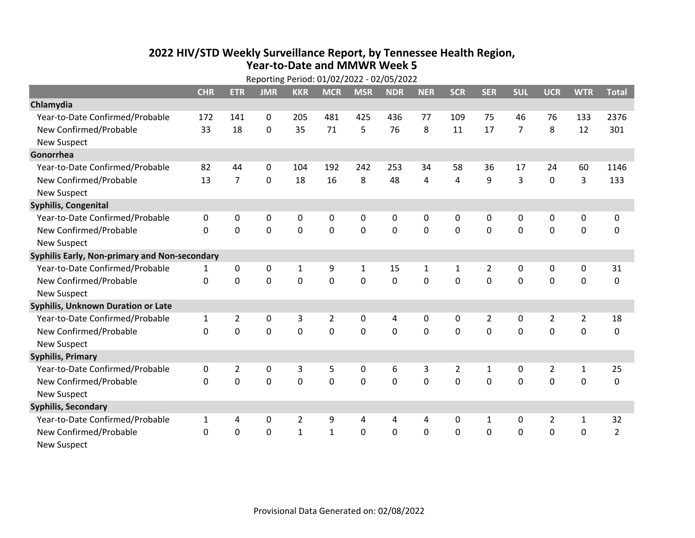## **2022 HIV /STD Weekly Surveillance Report, by Tennessee Health Region, Year‐to‐Date and MMWR Week 5**

| Reporting Period: 01/02/2022 - 02/05/2022     |              |                |             |                |                |                |             |              |                |                |             |                |                |                |
|-----------------------------------------------|--------------|----------------|-------------|----------------|----------------|----------------|-------------|--------------|----------------|----------------|-------------|----------------|----------------|----------------|
|                                               | <b>CHR</b>   | <b>ETR</b>     | <b>JMR</b>  | <b>KKR</b>     | <b>MCR</b>     | <b>MSR</b>     | <b>NDR</b>  | <b>NER</b>   | <b>SCR</b>     | <b>SER</b>     | <b>SUL</b>  | <b>UCR</b>     | <b>WTR</b>     | <b>Total</b>   |
| Chlamydia                                     |              |                |             |                |                |                |             |              |                |                |             |                |                |                |
| Year-to-Date Confirmed/Probable               | 172          | 141            | $\mathbf 0$ | 205            | 481            | 425            | 436         | 77           | 109            | 75             | 46          | 76             | 133            | 2376           |
| New Confirmed/Probable                        | 33           | 18             | $\Omega$    | 35             | 71             | 5              | 76          | 8            | 11             | 17             | 7           | 8              | 12             | 301            |
| <b>New Suspect</b>                            |              |                |             |                |                |                |             |              |                |                |             |                |                |                |
| Gonorrhea                                     |              |                |             |                |                |                |             |              |                |                |             |                |                |                |
| Year-to-Date Confirmed/Probable               | 82           | 44             | 0           | 104            | 192            | 242            | 253         | 34           | 58             | 36             | 17          | 24             | 60             | 1146           |
| New Confirmed/Probable                        | 13           | $\overline{7}$ | 0           | 18             | 16             | 8              | 48          | 4            | 4              | 9              | 3           | 0              | 3              | 133            |
| <b>New Suspect</b>                            |              |                |             |                |                |                |             |              |                |                |             |                |                |                |
| <b>Syphilis, Congenital</b>                   |              |                |             |                |                |                |             |              |                |                |             |                |                |                |
| Year-to-Date Confirmed/Probable               | $\pmb{0}$    | 0              | $\mathbf 0$ | 0              | $\pmb{0}$      | 0              | 0           | $\mathbf 0$  | 0              | 0              | $\mathbf 0$ | 0              | $\mathbf 0$    | 0              |
| New Confirmed/Probable                        | $\mathbf 0$  | $\mathbf 0$    | $\mathbf 0$ | $\mathbf 0$    | $\mathbf 0$    | $\mathbf 0$    | $\mathbf 0$ | $\mathbf 0$  | 0              | 0              | $\mathbf 0$ | $\mathbf 0$    | $\mathbf 0$    | 0              |
| <b>New Suspect</b>                            |              |                |             |                |                |                |             |              |                |                |             |                |                |                |
| Syphilis Early, Non-primary and Non-secondary |              |                |             |                |                |                |             |              |                |                |             |                |                |                |
| Year-to-Date Confirmed/Probable               | 1            | $\pmb{0}$      | $\mathbf 0$ | $\mathbf{1}$   | 9              | 1              | 15          | $\mathbf{1}$ | 1              | $\overline{2}$ | $\mathbf 0$ | 0              | $\pmb{0}$      | 31             |
| New Confirmed/Probable                        | $\mathbf 0$  | $\mathbf 0$    | $\mathbf 0$ | $\mathbf 0$    | $\mathbf 0$    | $\mathbf 0$    | 0           | $\mathbf 0$  | $\mathbf 0$    | $\mathbf 0$    | $\mathbf 0$ | $\mathbf 0$    | $\mathbf 0$    | $\mathbf 0$    |
| <b>New Suspect</b>                            |              |                |             |                |                |                |             |              |                |                |             |                |                |                |
| Syphilis, Unknown Duration or Late            |              |                |             |                |                |                |             |              |                |                |             |                |                |                |
| Year-to-Date Confirmed/Probable               | $\mathbf{1}$ | $\overline{2}$ | $\mathbf 0$ | 3              | $\overline{2}$ | 0              | 4           | 0            | 0              | $\overline{2}$ | $\mathbf 0$ | $\overline{2}$ | $\overline{2}$ | 18             |
| New Confirmed/Probable                        | $\Omega$     | 0              | $\mathbf 0$ | $\overline{0}$ | $\mathbf 0$    | $\overline{0}$ | 0           | $\Omega$     | $\Omega$       | $\Omega$       | $\mathbf 0$ | $\Omega$       | $\mathbf 0$    | 0              |
| <b>New Suspect</b>                            |              |                |             |                |                |                |             |              |                |                |             |                |                |                |
| <b>Syphilis, Primary</b>                      |              |                |             |                |                |                |             |              |                |                |             |                |                |                |
| Year-to-Date Confirmed/Probable               | $\mathbf 0$  | $\overline{2}$ | $\mathbf 0$ | 3              | 5              | 0              | 6           | 3            | $\overline{2}$ | $\mathbf{1}$   | $\mathbf 0$ | $\overline{2}$ | $\mathbf{1}$   | 25             |
| New Confirmed/Probable                        | $\mathbf 0$  | 0              | $\mathbf 0$ | 0              | $\mathbf 0$    | 0              | 0           | $\Omega$     | $\Omega$       | 0              | 0           | 0              | $\mathbf 0$    | 0              |
| <b>New Suspect</b>                            |              |                |             |                |                |                |             |              |                |                |             |                |                |                |
| <b>Syphilis, Secondary</b>                    |              |                |             |                |                |                |             |              |                |                |             |                |                |                |
| Year-to-Date Confirmed/Probable               | $\mathbf{1}$ | 4              | $\mathbf 0$ | $\overline{2}$ | 9              | 4              | 4           | 4            | 0              | $\mathbf{1}$   | 0           | $\overline{2}$ | $\mathbf{1}$   | 32             |
| New Confirmed/Probable                        | 0            | 0              | 0           | $\mathbf{1}$   | $\mathbf{1}$   | $\mathbf 0$    | 0           | $\mathbf 0$  | 0              | 0              | 0           | 0              | $\mathbf 0$    | $\overline{2}$ |
| <b>New Suspect</b>                            |              |                |             |                |                |                |             |              |                |                |             |                |                |                |